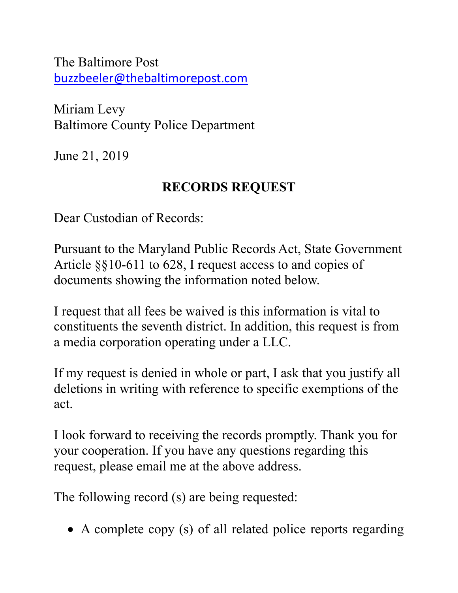The Baltimore Post [buzzbeeler@thebaltimorepost.com](about:blankbuzzbeeler@thebaltimorepost.com)

Miriam Levy Baltimore County Police Department

June 21, 2019

## **RECORDS REQUEST**

Dear Custodian of Records:

Pursuant to the Maryland Public Records Act, State Government Article §§10-611 to 628, I request access to and copies of documents showing the information noted below.

I request that all fees be waived is this information is vital to constituents the seventh district. In addition, this request is from a media corporation operating under a LLC.

If my request is denied in whole or part, I ask that you justify all deletions in writing with reference to specific exemptions of the act.

I look forward to receiving the records promptly. Thank you for your cooperation. If you have any questions regarding this request, please email me at the above address.

The following record (s) are being requested:

• A complete copy (s) of all related police reports regarding